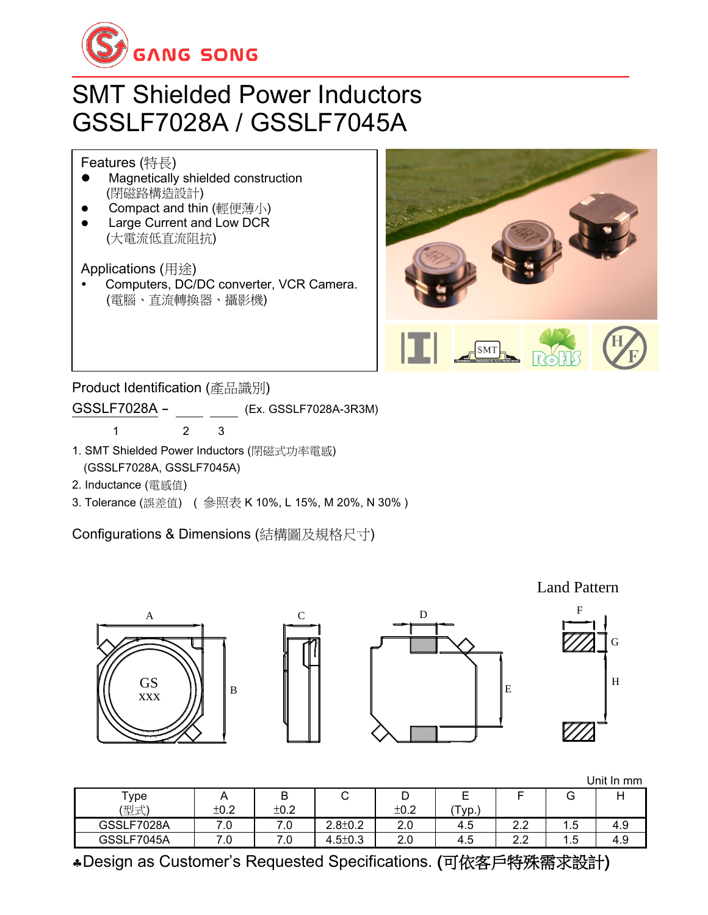

## SMT Shielded Power Inductors GSSLF7028A / GSSLF7045A

Features (特長)

- ⚫ Magnetically shielded construction (閉磁路構造設計)
- Compact and thin (輕便薄小)
- Large Current and Low DCR (大電流低直流阻抗)

Applications (用途)

 Computers, DC/DC converter, VCR Camera. (電腦、直流轉換器、攝影機)



Product Identification (產品識別)

GSSLF7028A - (Ex. GSSLF7028A-3R3M)

1 2 3

- 1. SMT Shielded Power Inductors (閉磁式功率電感) (GSSLF7028A, GSSLF7045A)
- 2. Inductance (電感值)
- 3. Tolerance (誤差值) ( 參照表 K 10%, L 15%, M 20%, N 30% )

Configurations & Dimensions (結構圖及規格尺寸)

B A GS





Land Pattern



Unit In mm

| $\tau$ ype<br>(型式) | $\cdots$<br>±0.2 | D<br>D<br>±0.2 | ີ                  | ້<br>±0.2 | -<br>⊏      |                           |       |     |
|--------------------|------------------|----------------|--------------------|-----------|-------------|---------------------------|-------|-----|
| GSSLF7028A         | . U              | 7.0            | $2.8 \pm 0.2$      | 2.0       | VD.,<br>4.5 | $\sim$ $\sim$<br>ے .      | . . ວ | 4.9 |
| GSSLF7045A         | .u               | 7.0            | $4.5 \pm 0.3$<br>4 | 2.0       | 4.5         | $\sim$ $\sim$<br><u>.</u> | 5     | 4.9 |

Design as Customer's Requested Specifications. (可依客戶特殊需求設計)